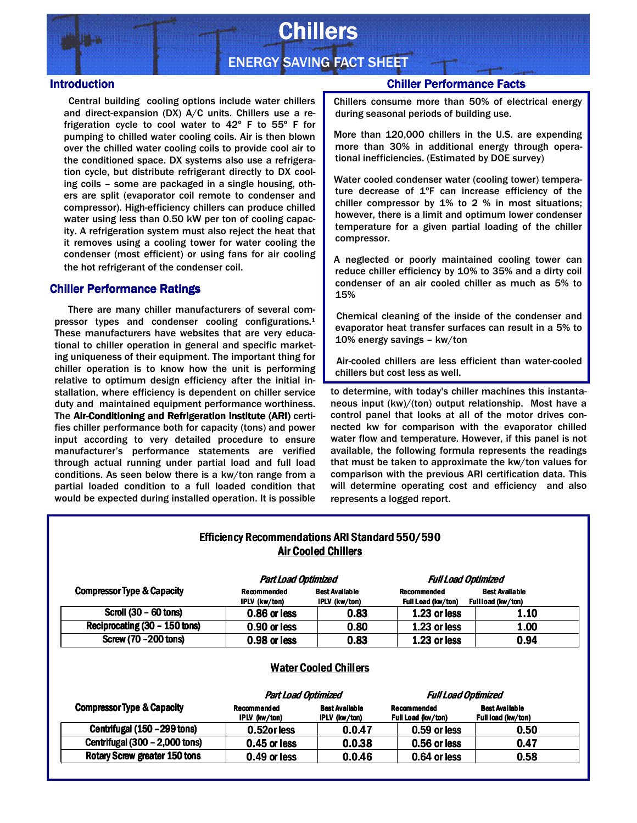

# **Chillers**

## ENERGY SAVING FACT SHEET

#### **Introduction**

Central building cooling options include water chillers and direct-expansion (DX) A/C units. Chillers use a refrigeration cycle to cool water to 42º F to 55º F for pumping to chilled water cooling coils. Air is then blown over the chilled water cooling coils to provide cool air to the conditioned space. DX systems also use a refrigeration cycle, but distribute refrigerant directly to DX cooling coils – some are packaged in a single housing, others are split (evaporator coil remote to condenser and compressor). High-efficiency chillers can produce chilled water using less than 0.50 kW per ton of cooling capacity. A refrigeration system must also reject the heat that it removes using a cooling tower for water cooling the condenser (most efficient) or using fans for air cooling the hot refrigerant of the condenser coil.

#### Chiller Performance Ratings

 There are many chiller manufacturers of several compressor types and condenser cooling configurations. $1$ These manufacturers have websites that are very educational to chiller operation in general and specific marketing uniqueness of their equipment. The important thing for chiller operation is to know how the unit is performing relative to optimum design efficiency after the initial installation, where efficiency is dependent on chiller service duty and maintained equipment performance worthiness. The Air-Conditioning and Refrigeration Institute (ARI) certifies chiller performance both for capacity (tons) and power input according to very detailed procedure to ensure manufacturer's performance statements are verified through actual running under partial load and full load conditions. As seen below there is a kw/ton range from a partial loaded condition to a full loaded condition that would be expected during installed operation. It is possible

## Chiller Performance Facts

 Chillers consume more than 50% of electrical energy during seasonal periods of building use.

 More than 120,000 chillers in the U.S. are expending more than 30% in additional energy through operational inefficiencies. (Estimated by DOE survey)

 Water cooled condenser water (cooling tower) temperature decrease of 1ºF can increase efficiency of the chiller compressor by 1% to 2 % in most situations; however, there is a limit and optimum lower condenser temperature for a given partial loading of the chiller compressor.

 A neglected or poorly maintained cooling tower can reduce chiller efficiency by 10% to 35% and a dirty coil condenser of an air cooled chiller as much as 5% to 15%

 Chemical cleaning of the inside of the condenser and evaporator heat transfer surfaces can result in a 5% to 10% energy savings – kw/ton

 Air-cooled chillers are less efficient than water-cooled chillers but cost less as well.

to determine, with today's chiller machines this instantaneous input (kw)/(ton) output relationship. Most have a control panel that looks at all of the motor drives connected kw for comparison with the evaporator chilled water flow and temperature. However, if this panel is not available, the following formula represents the readings that must be taken to approximate the kw/ton values for comparison with the previous ARI certification data. This will determine operating cost and efficiency and also represents a logged report.

## Efficiency Recommendations ARI Standard 550/590 Air Cooled Chillers

| <b>Compressor Type &amp; Capacity</b> | <b>Part Load Optimized</b><br><b>Recommended</b> | <b>Best Available</b> | Recommended        | <b>Full Load Optimized</b><br><b>Best Available</b> |
|---------------------------------------|--------------------------------------------------|-----------------------|--------------------|-----------------------------------------------------|
|                                       | IPLV (kw/ton)                                    | <b>IPLV</b> (kw/ton)  | Full Load (kw/ton) | Fullload (kw/ton)                                   |
| Scroll (30 - 60 tons)                 | 0.86 or less                                     | 0.83                  | 1.23 or less       | 1.10                                                |
| Reciprocating (30 - 150 tons)         | 0.90 or less                                     | 0.80                  | 1.23 or less       | 1.00                                                |
| Screw (70 - 200 tons)                 | 0.98 or less                                     | 0.83                  | 1.23 or less       | 0.94                                                |

|                                       | <b>Part Load Optimized</b>   |                                        | <b>Full Load Optimized</b>               |                                             |
|---------------------------------------|------------------------------|----------------------------------------|------------------------------------------|---------------------------------------------|
| <b>Compressor Type &amp; Capacity</b> | Recommended<br>IPLV (kw/ton) | <b>Best Available</b><br>IPLV (kw/ton) | <b>Recommended</b><br>Full Load (kw/ton) | <b>Best Available</b><br>Full load (kw/ton) |
| Centrifugal (150 - 299 tons)          | 0.52or less                  | 0.0.47                                 | 0.59 or less                             | 0.50                                        |
| Centrifugal (300 - 2,000 tons)        | $0.45$ or less               | 0.0.38                                 | 0.56 or less                             | 0.47                                        |
| Rotary Screw greater 150 tons         | 0.49 or less                 | 0.0.46                                 | 0.64 or less                             | 0.58                                        |